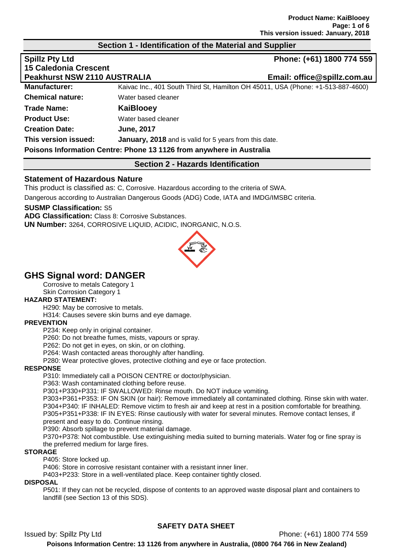#### **Section 1 - Identification of the Material and Supplier**

| <b>Spillz Pty Ltd</b>               |                                                                                  | Phone: (+61) 1800 774 559   |
|-------------------------------------|----------------------------------------------------------------------------------|-----------------------------|
| <b>15 Caledonia Crescent</b>        |                                                                                  |                             |
| <b>Peakhurst NSW 2110 AUSTRALIA</b> |                                                                                  | Email: office@spillz.com.au |
| <b>Manufacturer:</b>                | Kaivac Inc., 401 South Third St, Hamilton OH 45011, USA (Phone: +1-513-887-4600) |                             |
| <b>Chemical nature:</b>             | Water based cleaner                                                              |                             |
| <b>Trade Name:</b>                  | KaiBlooey                                                                        |                             |
| <b>Product Use:</b>                 | Water based cleaner                                                              |                             |
| <b>Creation Date:</b>               | <b>June, 2017</b>                                                                |                             |
| This version issued:                | <b>January, 2018</b> and is valid for 5 years from this date.                    |                             |
|                                     | Poisons Information Centre: Phone 13 1126 from anywhere in Australia             |                             |

## **Section 2 - Hazards Identification**

#### **Statement of Hazardous Nature**

This product is classified as: C, Corrosive. Hazardous according to the criteria of SWA.

Dangerous according to Australian Dangerous Goods (ADG) Code, IATA and IMDG/IMSBC criteria.

#### **SUSMP Classification:** S5

**ADG Classification:** Class 8: Corrosive Substances. **UN Number:** 3264, CORROSIVE LIQUID, ACIDIC, INORGANIC, N.O.S.



# **GHS Signal word: DANGER**

Corrosive to metals Category 1 Skin Corrosion Category 1

#### **HAZARD STATEMENT:**

H290: May be corrosive to metals.

H314: Causes severe skin burns and eye damage.

#### **PREVENTION**

P234: Keep only in original container.

P260: Do not breathe fumes, mists, vapours or spray.

P262: Do not get in eyes, on skin, or on clothing.

P264: Wash contacted areas thoroughly after handling.

P280: Wear protective gloves, protective clothing and eye or face protection.

#### **RESPONSE**

P310: Immediately call a POISON CENTRE or doctor/physician.

P363: Wash contaminated clothing before reuse.

P301+P330+P331: IF SWALLOWED: Rinse mouth. Do NOT induce vomiting.

P303+P361+P353: IF ON SKIN (or hair): Remove immediately all contaminated clothing. Rinse skin with water. P304+P340: IF INHALED: Remove victim to fresh air and keep at rest in a position comfortable for breathing. P305+P351+P338: IF IN EYES: Rinse cautiously with water for several minutes. Remove contact lenses, if present and easy to do. Continue rinsing.

P390: Absorb spillage to prevent material damage.

P370+P378: Not combustible. Use extinguishing media suited to burning materials. Water fog or fine spray is the preferred medium for large fires.

#### **STORAGE**

P405: Store locked up.

P406: Store in corrosive resistant container with a resistant inner liner.

P403+P233: Store in a well-ventilated place. Keep container tightly closed.

#### **DISPOSAL**

P501: If they can not be recycled, dispose of contents to an approved waste disposal plant and containers to landfill (see Section 13 of this SDS).

# **SAFETY DATA SHEET**

Issued by: Spillz Pty Ltd Phone: (+61) 1800 774 559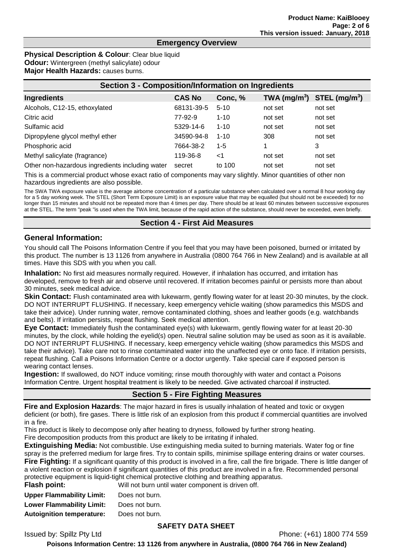# **Emergency Overview**

#### **Physical Description & Colour: Clear blue liquid Odour:** Wintergreen (methyl salicylate) odour

**Major Health Hazards:** causes burns.

| <b>Section 3 - Composition/Information on Ingredients</b> |               |          |                            |                |
|-----------------------------------------------------------|---------------|----------|----------------------------|----------------|
| Ingredients                                               | <b>CAS No</b> | Conc, %  | $TWA$ (mg/m <sup>3</sup> ) | STEL $(mg/m3)$ |
| Alcohols, C12-15, ethoxylated                             | 68131-39-5    | $5 - 10$ | not set                    | not set        |
| Citric acid                                               | 77-92-9       | $1 - 10$ | not set                    | not set        |
| Sulfamic acid                                             | 5329-14-6     | $1 - 10$ | not set                    | not set        |
| Dipropylene glycol methyl ether                           | 34590-94-8    | $1 - 10$ | 308                        | not set        |
| Phosphoric acid                                           | 7664-38-2     | $1 - 5$  |                            | 3              |
| Methyl salicylate (fragrance)                             | 119-36-8      | ا>       | not set                    | not set        |
| Other non-hazardous ingredients including water           | secret        | to 100   | not set                    | not set        |

This is a commercial product whose exact ratio of components may vary slightly. Minor quantities of other non hazardous ingredients are also possible.

The SWA TWA exposure value is the average airborne concentration of a particular substance when calculated over a normal 8 hour working day for a 5 day working week. The STEL (Short Term Exposure Limit) is an exposure value that may be equalled (but should not be exceeded) for no longer than 15 minutes and should not be repeated more than 4 times per day. There should be at least 60 minutes between successive exposures at the STEL. The term "peak "is used when the TWA limit, because of the rapid action of the substance, should never be exceeded, even briefly.

#### **Section 4 - First Aid Measures**

#### **General Information:**

You should call The Poisons Information Centre if you feel that you may have been poisoned, burned or irritated by this product. The number is 13 1126 from anywhere in Australia (0800 764 766 in New Zealand) and is available at all times. Have this SDS with you when you call.

**Inhalation:** No first aid measures normally required. However, if inhalation has occurred, and irritation has developed, remove to fresh air and observe until recovered. If irritation becomes painful or persists more than about 30 minutes, seek medical advice.

**Skin Contact:** Flush contaminated area with lukewarm, gently flowing water for at least 20-30 minutes, by the clock. DO NOT INTERRUPT FLUSHING. If necessary, keep emergency vehicle waiting (show paramedics this MSDS and take their advice). Under running water, remove contaminated clothing, shoes and leather goods (e.g. watchbands and belts). If irritation persists, repeat flushing. Seek medical attention.

**Eye Contact:** Immediately flush the contaminated eye(s) with lukewarm, gently flowing water for at least 20-30 minutes, by the clock, while holding the eyelid(s) open. Neutral saline solution may be used as soon as it is available. DO NOT INTERRUPT FLUSHING. If necessary, keep emergency vehicle waiting (show paramedics this MSDS and take their advice). Take care not to rinse contaminated water into the unaffected eye or onto face. If irritation persists, repeat flushing. Call a Poisons Information Centre or a doctor urgently. Take special care if exposed person is wearing contact lenses.

**Ingestion:** If swallowed, do NOT induce vomiting; rinse mouth thoroughly with water and contact a Poisons Information Centre. Urgent hospital treatment is likely to be needed. Give activated charcoal if instructed.

# **Section 5 - Fire Fighting Measures**

**Fire and Explosion Hazards**: The major hazard in fires is usually inhalation of heated and toxic or oxygen deficient (or both), fire gases. There is little risk of an explosion from this product if commercial quantities are involved in a fire.

This product is likely to decompose only after heating to dryness, followed by further strong heating.

Fire decomposition products from this product are likely to be irritating if inhaled.

**Extinguishing Media:** Not combustible. Use extinguishing media suited to burning materials. Water fog or fine spray is the preferred medium for large fires. Try to contain spills, minimise spillage entering drains or water courses. **Fire Fighting:** If a significant quantity of this product is involved in a fire, call the fire brigade. There is little danger of a violent reaction or explosion if significant quantities of this product are involved in a fire. Recommended personal protective equipment is liquid-tight chemical protective clothing and breathing apparatus.<br>
Flack noint:<br>
Will not burn until water component is driven off *<u>Aliance</u>* water component is driven off.

| Flash point:                     | <u>VVIII NOT DUI'N UNTII WATE</u> |
|----------------------------------|-----------------------------------|
| <b>Upper Flammability Limit:</b> | Does not burn.                    |
| <b>Lower Flammability Limit:</b> | Does not burn.                    |
| <b>Autoignition temperature:</b> | Does not burn.                    |
|                                  |                                   |

#### **SAFETY DATA SHEET**

Issued by: Spillz Pty Ltd Phone: (+61) 1800 774 559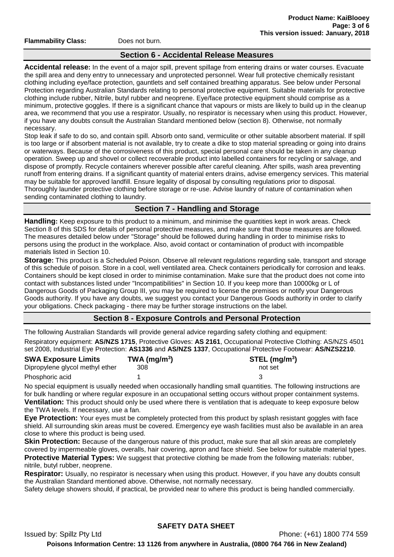**Flammability Class:** Does not burn.

#### **Section 6 - Accidental Release Measures**

**Accidental release:** In the event of a major spill, prevent spillage from entering drains or water courses. Evacuate the spill area and deny entry to unnecessary and unprotected personnel. Wear full protective chemically resistant clothing including eye/face protection, gauntlets and self contained breathing apparatus. See below under Personal Protection regarding Australian Standards relating to personal protective equipment. Suitable materials for protective clothing include rubber, Nitrile, butyl rubber and neoprene. Eye/face protective equipment should comprise as a minimum, protective goggles. If there is a significant chance that vapours or mists are likely to build up in the cleanup area, we recommend that you use a respirator. Usually, no respirator is necessary when using this product. However, if you have any doubts consult the Australian Standard mentioned below (section 8). Otherwise, not normally necessary.

Stop leak if safe to do so, and contain spill. Absorb onto sand, vermiculite or other suitable absorbent material. If spill is too large or if absorbent material is not available, try to create a dike to stop material spreading or going into drains or waterways. Because of the corrosiveness of this product, special personal care should be taken in any cleanup operation. Sweep up and shovel or collect recoverable product into labelled containers for recycling or salvage, and dispose of promptly. Recycle containers wherever possible after careful cleaning. After spills, wash area preventing runoff from entering drains. If a significant quantity of material enters drains, advise emergency services. This material may be suitable for approved landfill. Ensure legality of disposal by consulting regulations prior to disposal. Thoroughly launder protective clothing before storage or re-use. Advise laundry of nature of contamination when sending contaminated clothing to laundry.

#### **Section 7 - Handling and Storage**

**Handling:** Keep exposure to this product to a minimum, and minimise the quantities kept in work areas. Check Section 8 of this SDS for details of personal protective measures, and make sure that those measures are followed. The measures detailed below under "Storage" should be followed during handling in order to minimise risks to persons using the product in the workplace. Also, avoid contact or contamination of product with incompatible materials listed in Section 10.

**Storage:** This product is a Scheduled Poison. Observe all relevant regulations regarding sale, transport and storage of this schedule of poison. Store in a cool, well ventilated area. Check containers periodically for corrosion and leaks. Containers should be kept closed in order to minimise contamination. Make sure that the product does not come into contact with substances listed under "Incompatibilities" in Section 10. If you keep more than 10000kg or L of Dangerous Goods of Packaging Group III, you may be required to license the premises or notify your Dangerous Goods authority. If you have any doubts, we suggest you contact your Dangerous Goods authority in order to clarify your obligations. Check packaging - there may be further storage instructions on the label.

# **Section 8 - Exposure Controls and Personal Protection**

The following Australian Standards will provide general advice regarding safety clothing and equipment:

Respiratory equipment: **AS/NZS 1715**, Protective Gloves: **AS 2161**, Occupational Protective Clothing: AS/NZS 4501 set 2008, Industrial Eye Protection: **AS1336** and **AS/NZS 1337**, Occupational Protective Footwear: **AS/NZS2210**.

| <b>SWA Exposure Limits</b>      | $TWA$ (mg/m <sup>3</sup> ) | STEL (mg/m <sup>3</sup> ) |
|---------------------------------|----------------------------|---------------------------|
| Dipropylene glycol methyl ether | 308                        | not set                   |
| Phosphoric acid                 |                            |                           |

No special equipment is usually needed when occasionally handling small quantities. The following instructions are for bulk handling or where regular exposure in an occupational setting occurs without proper containment systems. **Ventilation:** This product should only be used where there is ventilation that is adequate to keep exposure below the TWA levels. If necessary, use a fan.

**Eye Protection:** Your eyes must be completely protected from this product by splash resistant goggles with face shield. All surrounding skin areas must be covered. Emergency eye wash facilities must also be available in an area close to where this product is being used.

**Skin Protection:** Because of the dangerous nature of this product, make sure that all skin areas are completely covered by impermeable gloves, overalls, hair covering, apron and face shield. See below for suitable material types. **Protective Material Types:** We suggest that protective clothing be made from the following materials: rubber, nitrile, butyl rubber, neoprene.

**Respirator:** Usually, no respirator is necessary when using this product. However, if you have any doubts consult the Australian Standard mentioned above. Otherwise, not normally necessary.

Safety deluge showers should, if practical, be provided near to where this product is being handled commercially.

Issued by: Spillz Pty Ltd Phone: (+61) 1800 774 559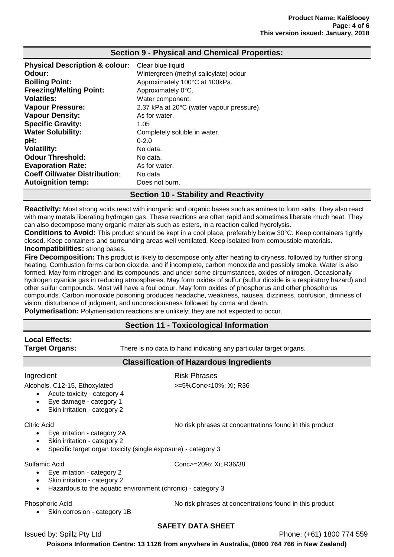| <b>Physical Description &amp; colour:</b> | Clear blue liquid                            |
|-------------------------------------------|----------------------------------------------|
| Odour:                                    | Wintergreen (methyl salicylate) odour        |
| <b>Boiling Point:</b>                     | Approximately 100°C at 100kPa.               |
| <b>Freezing/Melting Point:</b>            | Approximately 0°C.                           |
| <b>Volatiles:</b>                         | Water component.                             |
| <b>Vapour Pressure:</b>                   | 2.37 kPa at 20°C (water vapour pressure).    |
| <b>Vapour Density:</b>                    | As for water.                                |
| <b>Specific Gravity:</b>                  | 1.05                                         |
| <b>Water Solubility:</b>                  | Completely soluble in water.                 |
| pH:                                       | $0 - 2.0$                                    |
| <b>Volatility:</b>                        | No data.                                     |
| <b>Odour Threshold:</b>                   | No data.                                     |
| <b>Evaporation Rate:</b>                  | As for water.                                |
| <b>Coeff Oil/water Distribution:</b>      | No data                                      |
| <b>Autoignition temp:</b>                 | Does not burn.                               |
|                                           | <b>Section 10 - Stability and Reactivity</b> |

#### **Section 9 - Physical and Chemical Properties:**

**Reactivity:** Most strong acids react with inorganic and organic bases such as amines to form salts. They also react with many metals liberating hydrogen gas. These reactions are often rapid and sometimes liberate much heat. They can also decompose many organic materials such as esters, in a reaction called hydrolysis.

**Conditions to Avoid:** This product should be kept in a cool place, preferably below 30°C. Keep containers tightly closed. Keep containers and surrounding areas well ventilated. Keep isolated from combustible materials. **Incompatibilities:** strong bases.

**Fire Decomposition:** This product is likely to decompose only after heating to dryness, followed by further strong heating. Combustion forms carbon dioxide, and if incomplete, carbon monoxide and possibly smoke. Water is also formed. May form nitrogen and its compounds, and under some circumstances, oxides of nitrogen. Occasionally hydrogen cyanide gas in reducing atmospheres. May form oxides of sulfur (sulfur dioxide is a respiratory hazard) and other sulfur compounds. Most will have a foul odour. May form oxides of phosphorus and other phosphorus compounds. Carbon monoxide poisoning produces headache, weakness, nausea, dizziness, confusion, dimness of vision, disturbance of judgment, and unconsciousness followed by coma and death.

**Polymerisation:** Polymerisation reactions are unlikely; they are not expected to occur.

#### **Section 11 - Toxicological Information**

# **Local Effects:**

**Target Organs:** There is no data to hand indicating any particular target organs.

Ingredient **Risk Phrases** 

**Classification of Hazardous Ingredients**

Alcohols, C12-15, Ethoxylated  $\rightarrow$ =5%Conc<10%: Xi; R36

- Acute toxicity category 4
- Eye damage category 1
- Skin irritation category 2

#### Citric Acid No risk phrases at concentrations found in this product

- Eye irritation category 2A
- Skin irritation category 2
- Specific target organ toxicity (single exposure) category 3

- Eye irritation category 2
- Skin irritation category 2
- Hazardous to the aquatic environment (chronic) category 3

#### Phosphoric Acid No risk phrases at concentrations found in this product

Skin corrosion - category 1B

Sulfamic Acid Conc>=20%: Xi; R36/38

## **SAFETY DATA SHEET**

Issued by: Spillz Pty Ltd Phone: (+61) 1800 774 559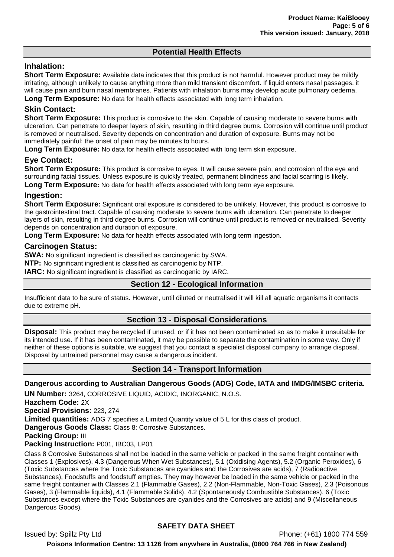# **Potential Health Effects**

### **Inhalation:**

**Short Term Exposure:** Available data indicates that this product is not harmful. However product may be mildly irritating, although unlikely to cause anything more than mild transient discomfort. If liquid enters nasal passages, it will cause pain and burn nasal membranes. Patients with inhalation burns may develop acute pulmonary oedema. **Long Term Exposure:** No data for health effects associated with long term inhalation.

# **Skin Contact:**

**Short Term Exposure:** This product is corrosive to the skin. Capable of causing moderate to severe burns with ulceration. Can penetrate to deeper layers of skin, resulting in third degree burns. Corrosion will continue until product is removed or neutralised. Severity depends on concentration and duration of exposure. Burns may not be immediately painful; the onset of pain may be minutes to hours.

**Long Term Exposure:** No data for health effects associated with long term skin exposure.

#### **Eye Contact:**

**Short Term Exposure:** This product is corrosive to eyes. It will cause severe pain, and corrosion of the eye and surrounding facial tissues. Unless exposure is quickly treated, permanent blindness and facial scarring is likely. **Long Term Exposure:** No data for health effects associated with long term eye exposure.

#### **Ingestion:**

**Short Term Exposure:** Significant oral exposure is considered to be unlikely. However, this product is corrosive to the gastrointestinal tract. Capable of causing moderate to severe burns with ulceration. Can penetrate to deeper layers of skin, resulting in third degree burns. Corrosion will continue until product is removed or neutralised. Severity depends on concentration and duration of exposure.

**Long Term Exposure:** No data for health effects associated with long term ingestion.

#### **Carcinogen Status:**

**SWA:** No significant ingredient is classified as carcinogenic by SWA.

**NTP:** No significant ingredient is classified as carcinogenic by NTP.

**IARC:** No significant ingredient is classified as carcinogenic by IARC.

#### **Section 12 - Ecological Information**

Insufficient data to be sure of status. However, until diluted or neutralised it will kill all aquatic organisms it contacts due to extreme pH.

#### **Section 13 - Disposal Considerations**

**Disposal:** This product may be recycled if unused, or if it has not been contaminated so as to make it unsuitable for its intended use. If it has been contaminated, it may be possible to separate the contamination in some way. Only if neither of these options is suitable, we suggest that you contact a specialist disposal company to arrange disposal. Disposal by untrained personnel may cause a dangerous incident.

#### **Section 14 - Transport Information**

**Dangerous according to Australian Dangerous Goods (ADG) Code, IATA and IMDG/IMSBC criteria.** 

**UN Number:** 3264, CORROSIVE LIQUID, ACIDIC, INORGANIC, N.O.S.

**Hazchem Code:** 2X

**Special Provisions:** 223, 274

**Limited quantities:** ADG 7 specifies a Limited Quantity value of 5 L for this class of product.

**Dangerous Goods Class:** Class 8: Corrosive Substances.

**Packing Group:** III

**Packing Instruction:** P001, IBC03, LP01

Class 8 Corrosive Substances shall not be loaded in the same vehicle or packed in the same freight container with Classes 1 (Explosives), 4.3 (Dangerous When Wet Substances), 5.1 (Oxidising Agents), 5.2 (Organic Peroxides), 6 (Toxic Substances where the Toxic Substances are cyanides and the Corrosives are acids), 7 (Radioactive Substances), Foodstuffs and foodstuff empties. They may however be loaded in the same vehicle or packed in the same freight container with Classes 2.1 (Flammable Gases), 2.2 (Non-Flammable, Non-Toxic Gases), 2.3 (Poisonous Gases), 3 (Flammable liquids), 4.1 (Flammable Solids), 4.2 (Spontaneously Combustible Substances), 6 (Toxic Substances except where the Toxic Substances are cyanides and the Corrosives are acids) and 9 (Miscellaneous Dangerous Goods).

# **SAFETY DATA SHEET**

Issued by: Spillz Pty Ltd Phone: (+61) 1800 774 559 **Poisons Information Centre: 13 1126 from anywhere in Australia, (0800 764 766 in New Zealand)**